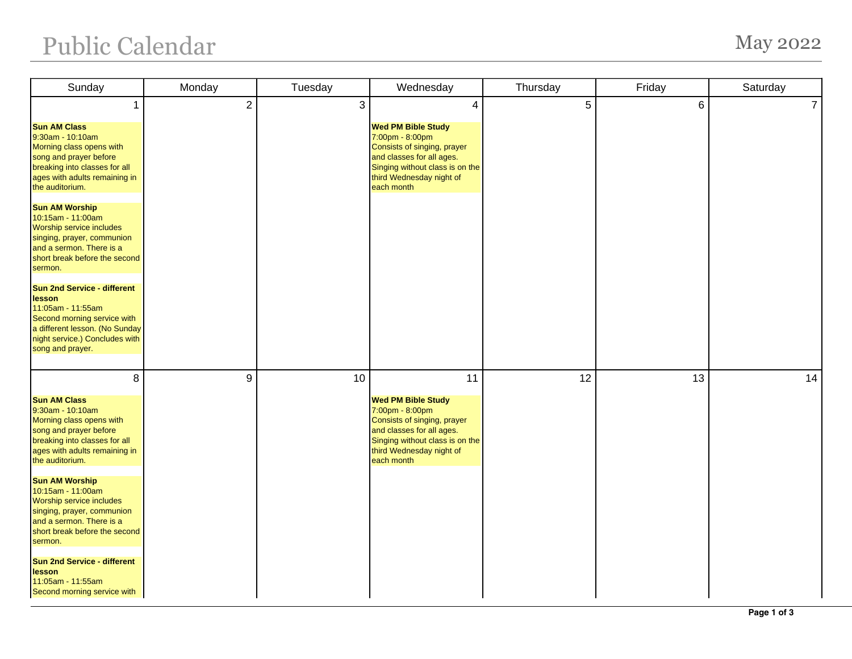## Public Calendar May 2022

| Sunday                                                                                                                                                                                   | Monday         | Tuesday | Wednesday                                                                                                                                                                             | Thursday | Friday | Saturday       |
|------------------------------------------------------------------------------------------------------------------------------------------------------------------------------------------|----------------|---------|---------------------------------------------------------------------------------------------------------------------------------------------------------------------------------------|----------|--------|----------------|
| <b>Sun AM Class</b><br>9:30am - 10:10am                                                                                                                                                  | $\overline{2}$ | 3       | 4<br><b>Wed PM Bible Study</b><br>7:00pm - 8:00pm                                                                                                                                     | 5        | 6      | $\overline{7}$ |
| Morning class opens with<br>song and prayer before<br>breaking into classes for all<br>ages with adults remaining in<br>the auditorium.                                                  |                |         | Consists of singing, prayer<br>and classes for all ages.<br>Singing without class is on the<br>third Wednesday night of<br>each month                                                 |          |        |                |
| <b>Sun AM Worship</b><br>10:15am - 11:00am<br><b>Worship service includes</b><br>singing, prayer, communion<br>and a sermon. There is a<br>short break before the second<br>sermon.      |                |         |                                                                                                                                                                                       |          |        |                |
| <b>Sun 2nd Service - different</b><br>lesson<br>11:05am - 11:55am<br>Second morning service with<br>a different lesson. (No Sunday<br>night service.) Concludes with<br>song and prayer. |                |         |                                                                                                                                                                                       |          |        |                |
| 8                                                                                                                                                                                        | 9              | 10      | 11                                                                                                                                                                                    | 12       | 13     | 14             |
| <b>Sun AM Class</b><br>9:30am - 10:10am<br>Morning class opens with<br>song and prayer before<br>breaking into classes for all<br>ages with adults remaining in<br>the auditorium.       |                |         | <b>Wed PM Bible Study</b><br>7:00pm - 8:00pm<br>Consists of singing, prayer<br>and classes for all ages.<br>Singing without class is on the<br>third Wednesday night of<br>each month |          |        |                |
| <b>Sun AM Worship</b><br>10:15am - 11:00am<br>Worship service includes<br>singing, prayer, communion<br>and a sermon. There is a<br>short break before the second<br>sermon.             |                |         |                                                                                                                                                                                       |          |        |                |
| <b>Sun 2nd Service - different</b><br>lesson<br>11:05am - 11:55am<br>Second morning service with                                                                                         |                |         |                                                                                                                                                                                       |          |        |                |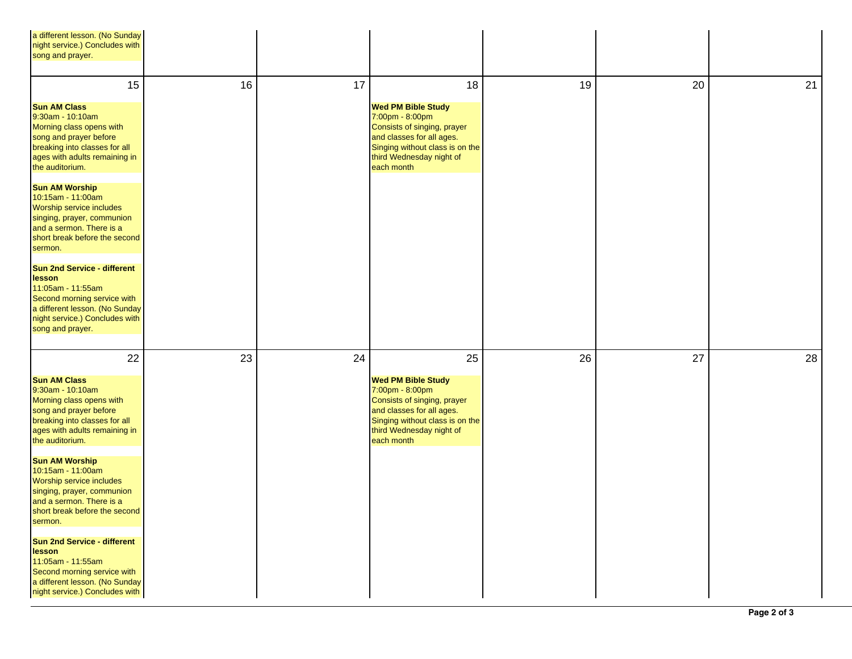| a different lesson. (No Sunday<br>night service.) Concludes with<br>song and prayer.                                                                                                            |    |    |                                                                                                                                                                                       |    |    |    |
|-------------------------------------------------------------------------------------------------------------------------------------------------------------------------------------------------|----|----|---------------------------------------------------------------------------------------------------------------------------------------------------------------------------------------|----|----|----|
| 15                                                                                                                                                                                              | 16 | 17 | 18                                                                                                                                                                                    | 19 | 20 | 21 |
| <b>Sun AM Class</b><br>9:30am - 10:10am<br>Morning class opens with<br>song and prayer before<br>breaking into classes for all<br>ages with adults remaining in<br>the auditorium.              |    |    | <b>Wed PM Bible Study</b><br>7:00pm - 8:00pm<br>Consists of singing, prayer<br>and classes for all ages.<br>Singing without class is on the<br>third Wednesday night of<br>each month |    |    |    |
| <b>Sun AM Worship</b><br>10:15am - 11:00am<br>Worship service includes<br>singing, prayer, communion<br>and a sermon. There is a<br>short break before the second<br>sermon.                    |    |    |                                                                                                                                                                                       |    |    |    |
| <b>Sun 2nd Service - different</b><br><b>lesson</b><br>11:05am - 11:55am<br>Second morning service with<br>a different lesson. (No Sunday<br>night service.) Concludes with<br>song and prayer. |    |    |                                                                                                                                                                                       |    |    |    |
| 22                                                                                                                                                                                              | 23 | 24 | 25                                                                                                                                                                                    | 26 | 27 | 28 |
| <b>Sun AM Class</b><br>9:30am - 10:10am<br>Morning class opens with<br>song and prayer before<br>breaking into classes for all<br>ages with adults remaining in<br>the auditorium.              |    |    | <b>Wed PM Bible Study</b><br>7:00pm - 8:00pm<br>Consists of singing, prayer<br>and classes for all ages.<br>Singing without class is on the<br>third Wednesday night of<br>each month |    |    |    |
| <b>Sun AM Worship</b><br>10:15am - 11:00am<br>Worship service includes<br>singing, prayer, communion<br>and a sermon. There is a<br>short break before the second<br>sermon.                    |    |    |                                                                                                                                                                                       |    |    |    |
| <b>Sun 2nd Service - different</b><br>lesson<br>11:05am - 11:55am<br>Second morning service with<br>a different lesson. (No Sunday<br>night service.) Concludes with                            |    |    |                                                                                                                                                                                       |    |    |    |